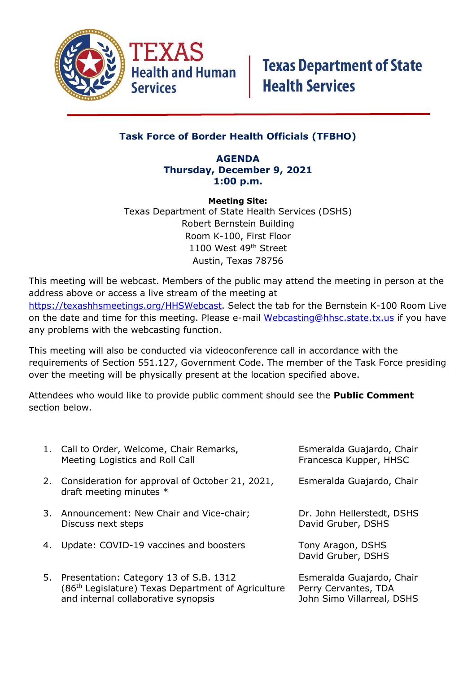

### **Task Force of Border Health Officials (TFBHO)**

#### **AGENDA Thursday, December 9, 2021 1:00 p.m.**

**Meeting Site:** Texas Department of State Health Services (DSHS) Robert Bernstein Building Room K-100, First Floor 1100 West 49<sup>th</sup> Street Austin, Texas 78756

This meeting will be webcast. Members of the public may attend the meeting in person at the address above or access a live stream of the meeting at [https://texashhsmeetings.org/HHSWebcast.](https://texashhsmeetings.org/HHSWebcast) Select the tab for the Bernstein K-100 Room Live on the date and time for this meeting. Please e-mail [Webcasting@hhsc.state.tx.us](mailto:Webcasting@hhsc.state.tx.us) if you have any problems with the webcasting function.

This meeting will also be conducted via videoconference call in accordance with the requirements of Section 551.127, Government Code. The member of the Task Force presiding over the meeting will be physically present at the location specified above.

Attendees who would like to provide public comment should see the **Public Comment** section below.

|    | 1. Call to Order, Welcome, Chair Remarks,<br>Meeting Logistics and Roll Call                                                                       | Esmeralda Guajardo, Chair<br>Francesca Kupper, HHSC                             |
|----|----------------------------------------------------------------------------------------------------------------------------------------------------|---------------------------------------------------------------------------------|
|    | 2. Consideration for approval of October 21, 2021,<br>draft meeting minutes *                                                                      | Esmeralda Guajardo, Chair                                                       |
|    | 3. Announcement: New Chair and Vice-chair;<br>Discuss next steps                                                                                   | Dr. John Hellerstedt, DSHS<br>David Gruber, DSHS                                |
| 4. | Update: COVID-19 vaccines and boosters                                                                                                             | Tony Aragon, DSHS<br>David Gruber, DSHS                                         |
|    | 5. Presentation: Category 13 of S.B. 1312<br>(86 <sup>th</sup> Legislature) Texas Department of Agriculture<br>and internal collaborative synopsis | Esmeralda Guajardo, Chair<br>Perry Cervantes, TDA<br>John Simo Villarreal, DSHS |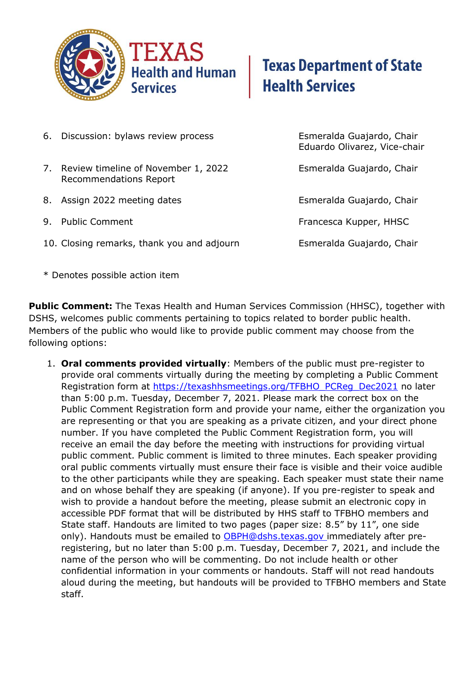

# **Texas Department of State Health Services**

- 6. Discussion: bylaws review process Esmeralda Guajardo, Chair
- 7. Review timeline of November 1, 2022 Esmeralda Guajardo, Chair Recommendations Report
- 8. Assign 2022 meeting dates **Exmeralda Guajardo, Chair**
- 
- 10. Closing remarks, thank you and adjourn Esmeralda Guajardo, Chair

Eduardo Olivarez, Vice-chair

9. Public Comment **Francesca Kupper**, HHSC

\* Denotes possible action item

**Public Comment:** The Texas Health and Human Services Commission (HHSC), together with DSHS, welcomes public comments pertaining to topics related to border public health. Members of the public who would like to provide public comment may choose from the following options:

1. **Oral comments provided virtually**: Members of the public must pre-register to provide oral comments virtually during the meeting by completing a Public Comment Registration form at [https://texashhsmeetings.org/TFBHO\\_PCReg\\_Dec2021](https://texashhsmeetings.org/TFBHO_PCReg_Dec2021) no later than 5:00 p.m. Tuesday, December 7, 2021. Please mark the correct box on the Public Comment Registration form and provide your name, either the organization you are representing or that you are speaking as a private citizen, and your direct phone number. If you have completed the Public Comment Registration form, you will receive an email the day before the meeting with instructions for providing virtual public comment. Public comment is limited to three minutes. Each speaker providing oral public comments virtually must ensure their face is visible and their voice audible to the other participants while they are speaking. Each speaker must state their name and on whose behalf they are speaking (if anyone). If you pre-register to speak and wish to provide a handout before the meeting, please submit an electronic copy in accessible PDF format that will be distributed by HHS staff to TFBHO members and State staff. Handouts are limited to two pages (paper size: 8.5" by 11", one side only). Handouts must be emailed to **OBPH@dshs.texas.gov** immediately after preregistering, but no later than 5:00 p.m. Tuesday, December 7, 2021, and include the name of the person who will be commenting. Do not include health or other confidential information in your comments or handouts. Staff will not read handouts aloud during the meeting, but handouts will be provided to TFBHO members and State staff.